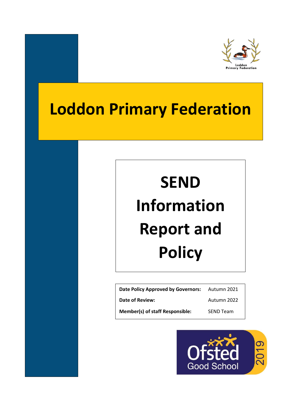

# **Loddon Primary Federation**

# **SEND Information Report and Policy**

| Date Policy Approved by Governors:     | Autumn 2021      |
|----------------------------------------|------------------|
| <b>Date of Review:</b>                 | Autumn 2022      |
| <b>Member(s) of staff Responsible:</b> | <b>SEND Team</b> |

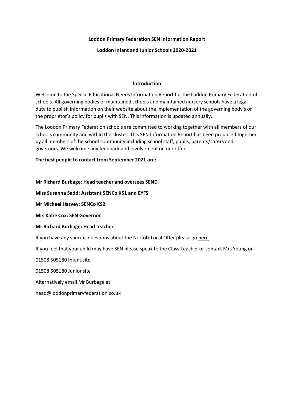#### **Loddon Primary Federation SEN Information Report**

#### **Loddon Infant and Junior Schools 2020-2021**

#### **Introduction**

Welcome to the Special Educational Needs Information Report for the Loddon Primary Federation of schools. All governing bodies of maintained schools and maintained nursery schools have a legal duty to publish information on their website about the implementation of the governing body's or the proprietor's policy for pupils with SEN. This information is updated annually.

The Loddon Primary Federation schools are committed to working together with all members of our schools community and within the cluster. This SEN Information Report has been produced together by all members of the school community including school staff, pupils, parents/carers and governors. We welcome any feedback and involvement on our offer.

### **The best people to contact from September 2021 are:**

#### **Mr Richard Burbage: Head teacher and oversees SEND**

**Miss Susanna Sadd: Assistant SENCo KS1 and EYFS**

**Mr Michael Harvey: SENCo KS2**

**Mrs Katie Cox: SEN Governor**

#### **Mr Richard Burbage: Head teacher**

If you have any specific questions about the Norfolk Local Offer please go here

If you feel that your child may have SEN please speak to the Class Teacher or contact Mrs Young on

01508 505180 Infant site

01508 505180 Junior site

Alternatively email Mr Burbage at:

head@loddonprimaryfederation.co.uk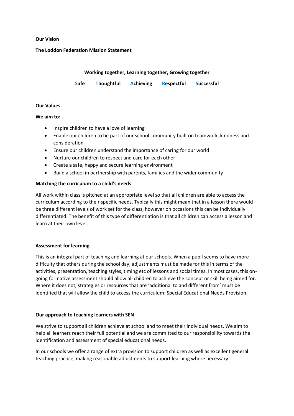#### **Our Vision**

#### **The Loddon Federation Mission Statement**

#### **Working together, Learning together, Growing together**

**Safe Thoughtful Achieving Respectful Successful** 

#### **Our Values**

#### **We aim to: -**

- Inspire children to have a love of learning
- Enable our children to be part of our school community built on teamwork, kindness and consideration
- Ensure our children understand the importance of caring for our world
- Nurture our children to respect and care for each other
- Create a safe, happy and secure learning environment
- Build a school in partnership with parents, families and the wider community

#### **Matching the curriculum to a child's needs**

All work within class is pitched at an appropriate level so that all children are able to access the curriculum according to their specific needs. Typically this might mean that in a lesson there would be three different levels of work set for the class, however on occasions this can be individually differentiated. The benefit of this type of differentiation is that all children can access a lesson and learn at their own level.

#### **Assessment for learning**

This is an integral part of teaching and learning at our schools. When a pupil seems to have more difficulty that others during the school day, adjustments must be made for this in terms of the activities, presentation, teaching styles, timing etc of lessons and social times. In most cases, this ongoing formative assessment should allow all children to achieve the concept or skill being aimed for. Where it does not, strategies or resources that are 'additional to and different from' must be identified that will allow the child to access the curriculum: Special Educational Needs Provision.

#### **Our approach to teaching learners with SEN**

We strive to support all children achieve at school and to meet their individual needs. We aim to help all learners reach their full potential and we are committed to our responsibility towards the identification and assessment of special educational needs.

In our schools we offer a range of extra provision to support children as well as excellent general teaching practice, making reasonable adjustments to support learning where necessary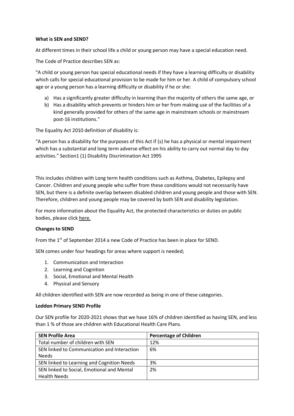#### **What is SEN and SEND?**

At different times in their school life a child or young person may have a special education need.

The Code of Practice describes SEN as:

"A child or young person has special educational needs if they have a learning difficulty or disability which calls for special educational provision to be made for him or her. A child of compulsory school age or a young person has a learning difficulty or disability if he or she:

- a) Has a significantly greater difficulty in learning than the majority of others the same age, or
- b) Has a disability which prevents or hinders him or her from making use of the facilities of a kind generally provided for others of the same age in mainstream schools or mainstream post-16 institutions."

The Equality Act 2010 definition of disability is:

"A person has a disability for the purposes of this Act if (s) he has a physical or mental impairment which has a substantial and long term adverse effect on his ability to carry out normal day to day activities." Section1 (1) Disability Discrimination Act 1995

This includes children with Long term health conditions such as Asthma, Diabetes, Epilepsy and Cancer. Children and young people who suffer from these conditions would not necessarily have SEN, but there is a definite overlap between disabled children and young people and those with SEN. Therefore, children and young people may be covered by both SEN and disability legislation.

For more information about the Equality Act, the protected characteristics or duties on public bodies, please click here.

#### **Changes to SEND**

From the 1<sup>st</sup> of September 2014 a new Code of Practice has been in place for SEND.

SEN comes under four headings for areas where support is needed;

- 1. Communication and Interaction
- 2. Learning and Cognition
- 3. Social, Emotional and Mental Health
- 4. Physical and Sensory

All children identified with SEN are now recorded as being in one of these categories.

#### **Loddon Primary SEND Profile**

Our SEN profile for 2020-2021 shows that we have 16% of children identified as having SEN, and less than 1 % of those are children with Educational Health Care Plans.

| <b>SEN Profile Area</b>                     | <b>Percentage of Children</b> |
|---------------------------------------------|-------------------------------|
| Total number of children with SEN           | 12%                           |
| SEN linked to Communication and Interaction | 6%                            |
| <b>Needs</b>                                |                               |
| SEN linked to Learning and Cognition Needs  | 3%                            |
| SEN linked to Social, Emotional and Mental  | 2%                            |
| <b>Health Needs</b>                         |                               |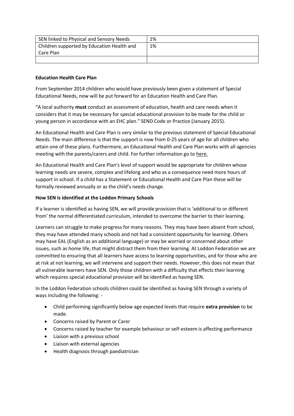| SEN linked to Physical and Sensory Needs                | 1% |
|---------------------------------------------------------|----|
| <sup>1</sup> Children supported by Education Health and | 1% |
| Care Plan                                               |    |
|                                                         |    |

### **Education Health Care Plan**

From September 2014 children who would have previously been given a statement of Special Educational Needs, now will be put forward for an Education Health and Care Plan.

"A local authority **must** conduct an assessment of education, health and care needs when it considers that it may be necessary for special educational provision to be made for the child or young person in accordance with an EHC plan." SEND Code or Practice (January 2015).

An Educational Health and Care Plan is very similar to the previous statement of Special Educational Needs. The main difference is that the support is now from 0-25 years of age for all children who attain one of these plans. Furthermore, an Educational Health and Care Plan works with all agencies meeting with the parents/carers and child. For further information go to here.

An Educational Health and Care Plan's level of support would be appropriate for children whose learning needs are severe, complex and lifelong and who as a consequence need more hours of support in school. If a child has a Statement or Educational Health and Care Plan these will be formally reviewed annually or as the child's needs change.

# **How SEN is identified at the Loddon Primary Schools**

If a learner is identified as having SEN, we will provide provision that is 'additional to or different from' the normal differentiated curriculum, intended to overcome the barrier to their learning.

Learners can struggle to make progress for many reasons. They may have been absent from school, they may have attended many schools and not had a consistent opportunity for learning. Others may have EAL (English as an additional language) or may be worried or concerned about other issues, such as home life, that might distract them from their learning. At Loddon Federation we are committed to ensuring that all learners have access to learning opportunities, and for those who are at risk at not learning, we will intervene and support their needs. However, this does not mean that all vulnerable learners have SEN. Only those children with a difficulty that effects their learning which requires special educational provision will be identified as having SEN.

In the Loddon Federation schools children could be identified as having SEN through a variety of ways including the following: -

- Child performing significantly below age expected levels that require **extra provision** to be made.
- Concerns raised by Parent or Carer
- Concerns raised by teacher for example behaviour or self-esteem is affecting performance
- Liaison with a previous school
- Liaison with external agencies
- Health diagnosis through paediatrician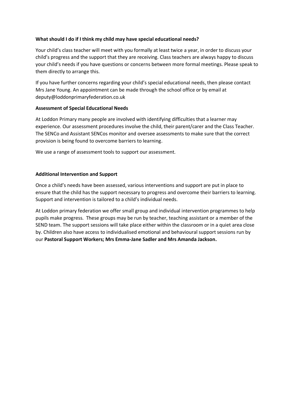## **What should I do if I think my child may have special educational needs?**

Your child's class teacher will meet with you formally at least twice a year, in order to discuss your child's progress and the support that they are receiving. Class teachers are always happy to discuss your child's needs if you have questions or concerns between more formal meetings. Please speak to them directly to arrange this.

If you have further concerns regarding your child's special educational needs, then please contact Mrs Jane Young. An appointment can be made through the school office or by email at deputy@loddonprimaryfederation.co.uk

### **Assessment of Special Educational Needs**

At Loddon Primary many people are involved with identifying difficulties that a learner may experience. Our assessment procedures involve the child, their parent/carer and the Class Teacher. The SENCo and Assistant SENCos monitor and oversee assessments to make sure that the correct provision is being found to overcome barriers to learning.

We use a range of assessment tools to support our assessment.

# **Additional Intervention and Support**

Once a child's needs have been assessed, various interventions and support are put in place to ensure that the child has the support necessary to progress and overcome their barriers to learning. Support and intervention is tailored to a child's individual needs.

At Loddon primary federation we offer small group and individual intervention programmes to help pupils make progress. These groups may be run by teacher, teaching assistant or a member of the SEND team. The support sessions will take place either within the classroom or in a quiet area close by. Children also have access to individualised emotional and behavioural support sessions run by our **Pastoral Support Workers; Mrs Emma-Jane Sadler and Mrs Amanda Jackson.**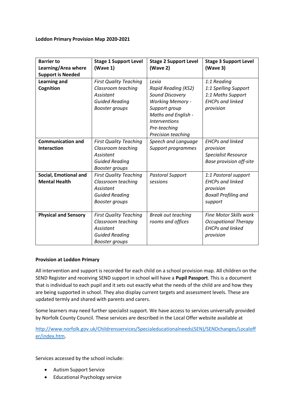#### **Loddon Primary Provision Map 2020-2021**

| <b>Barrier to</b><br>Learning/Area where<br><b>Support is Needed</b> | <b>Stage 1 Support Level</b><br>(Wave 1)                                                                           | <b>Stage 2 Support Level</b><br>(Wave 2)                                                                                                                                                | <b>Stage 3 Support Level</b><br>(Wave 3)                                                               |
|----------------------------------------------------------------------|--------------------------------------------------------------------------------------------------------------------|-----------------------------------------------------------------------------------------------------------------------------------------------------------------------------------------|--------------------------------------------------------------------------------------------------------|
| <b>Learning and</b><br>Cognition                                     | <b>First Quality Teaching</b><br>Classroom teaching<br>Assistant<br><b>Guided Reading</b><br><b>Booster groups</b> | Lexia<br>Rapid Reading (KS2)<br>Sound Discovery<br><b>Working Memory -</b><br>Support group<br><b>Maths and English -</b><br><b>Interventions</b><br>Pre-teaching<br>Precision teaching | 1:1 Reading<br>1:1 Spelling Support<br>1:1 Maths Support<br><b>EHCPs and linked</b><br>provision       |
| <b>Communication and</b><br><b>Interaction</b>                       | <b>First Quality Teaching</b><br>Classroom teaching<br>Assistant<br><b>Guided Reading</b><br><b>Booster groups</b> | Speech and Language<br>Support programmes                                                                                                                                               | <b>EHCPs and linked</b><br>provision<br><b>Specialist Resource</b><br><b>Base provision off-site</b>   |
| <b>Social, Emotional and</b><br><b>Mental Health</b>                 | <b>First Quality Teaching</b><br>Classroom teaching<br>Assistant<br><b>Guided Reading</b><br><b>Booster groups</b> | <b>Pastoral Support</b><br>sessions                                                                                                                                                     | 1:1 Pastoral support<br><b>EHCPs and linked</b><br>provision<br><b>Boxall Profiling and</b><br>support |
| <b>Physical and Sensory</b>                                          | <b>First Quality Teaching</b><br>Classroom teaching<br>Assistant<br><b>Guided Reading</b><br><b>Booster groups</b> | <b>Break out teaching</b><br>rooms and offices                                                                                                                                          | <b>Fine Motor Skills work</b><br><b>Occupational Therapy</b><br><b>EHCPs and linked</b><br>provision   |

#### **Provision at Loddon Primary**

All intervention and support is recorded for each child on a school provision map. All children on the SEND Register and receiving SEND support in school will have a **Pupil Passport**. This is a document that is individual to each pupil and it sets out exactly what the needs of the child are and how they are being supported in school. They also display current targets and assessment levels. These are updated termly and shared with parents and carers.

Some learners may need further specialist support. We have access to services universally provided by Norfolk County Council. These services are described in the Local Offer website available at

[http://www.norfolk.gov.uk/Childrensservices/Specialeducationalneeds\(SEN\)/SENDchanges/Localoff](http://www.norfolk.gov.uk/Childrensservices/Specialeducationalneeds(SEN)/SENDchanges/Localoffer/index.htm) [er/index.htm.](http://www.norfolk.gov.uk/Childrensservices/Specialeducationalneeds(SEN)/SENDchanges/Localoffer/index.htm)

Services accessed by the school include:

- Autism Support Service
- Educational Psychology service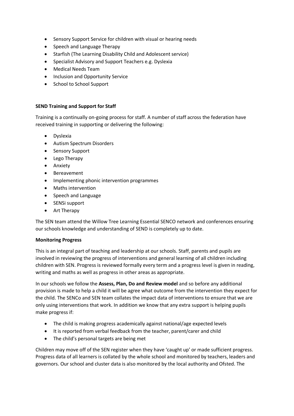- Sensory Support Service for children with visual or hearing needs
- Speech and Language Therapy
- Starfish (The Learning Disability Child and Adolescent service)
- Specialist Advisory and Support Teachers e.g. Dyslexia
- Medical Needs Team
- Inclusion and Opportunity Service
- School to School Support

# **SEND Training and Support for Staff**

Training is a continually on-going process for staff. A number of staff across the federation have received training in supporting or delivering the following:

- Dyslexia
- Autism Spectrum Disorders
- Sensory Support
- Lego Therapy
- **•** Anxiety
- Bereavement
- Implementing phonic intervention programmes
- Maths intervention
- Speech and Language
- SENSi support
- Art Therapy

The SEN team attend the Willow Tree Learning Essential SENCO network and conferences ensuring our schools knowledge and understanding of SEND is completely up to date.

# **Monitoring Progress**

This is an integral part of teaching and leadership at our schools. Staff, parents and pupils are involved in reviewing the progress of interventions and general learning of all children including children with SEN. Progress is reviewed formally every term and a progress level is given in reading, writing and maths as well as progress in other areas as appropriate.

In our schools we follow the **Assess, Plan, Do and Review model** and so before any additional provision is made to help a child it will be agree what outcome from the intervention they expect for the child. The SENCo and SEN team collates the impact data of interventions to ensure that we are only using interventions that work. In addition we know that any extra support is helping pupils make progress if:

- The child is making progress academically against national/age expected levels
- It is reported from verbal feedback from the teacher, parent/carer and child
- The child's personal targets are being met

Children may move off of the SEN register when they have 'caught up' or made sufficient progress. Progress data of all learners is collated by the whole school and monitored by teachers, leaders and governors. Our school and cluster data is also monitored by the local authority and Ofsted. The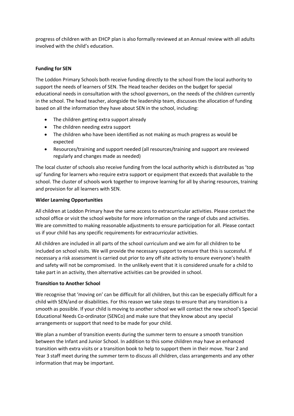progress of children with an EHCP plan is also formally reviewed at an Annual review with all adults involved with the child's education.

# **Funding for SEN**

The Loddon Primary Schools both receive funding directly to the school from the local authority to support the needs of learners of SEN. The Head teacher decides on the budget for special educational needs in consultation with the school governors, on the needs of the children currently in the school. The head teacher, alongside the leadership team, discusses the allocation of funding based on all the information they have about SEN in the school, including:

- The children getting extra support already
- The children needing extra support
- The children who have been identified as not making as much progress as would be expected
- Resources/training and support needed (all resources/training and support are reviewed regularly and changes made as needed)

The local cluster of schools also receive funding from the local authority which is distributed as 'top up' funding for learners who require extra support or equipment that exceeds that available to the school. The cluster of schools work together to improve learning for all by sharing resources, training and provision for all learners with SEN.

### **Wider Learning Opportunities**

All children at Loddon Primary have the same access to extracurricular activities. Please contact the school office or visit the school website for more information on the range of clubs and activities. We are committed to making reasonable adjustments to ensure participation for all. Please contact us if your child has any specific requirements for extracurricular activities.

All children are included in all parts of the school curriculum and we aim for all children to be included on school visits. We will provide the necessary support to ensure that this is successful. If necessary a risk assessment is carried out prior to any off site activity to ensure everyone's health and safety will not be compromised. In the unlikely event that it is considered unsafe for a child to take part in an activity, then alternative activities can be provided in school.

#### **Transition to Another School**

We recognise that 'moving on' can be difficult for all children, but this can be especially difficult for a child with SEN/and or disabilities. For this reason we take steps to ensure that any transition is a smooth as possible. If your child is moving to another school we will contact the new school's Special Educational Needs Co-ordinator (SENCo) and make sure that they know about any special arrangements or support that need to be made for your child.

We plan a number of transition events during the summer term to ensure a smooth transition between the Infant and Junior School. In addition to this some children may have an enhanced transition with extra visits or a transition book to help to support them in their move. Year 2 and Year 3 staff meet during the summer term to discuss all children, class arrangements and any other information that may be important.